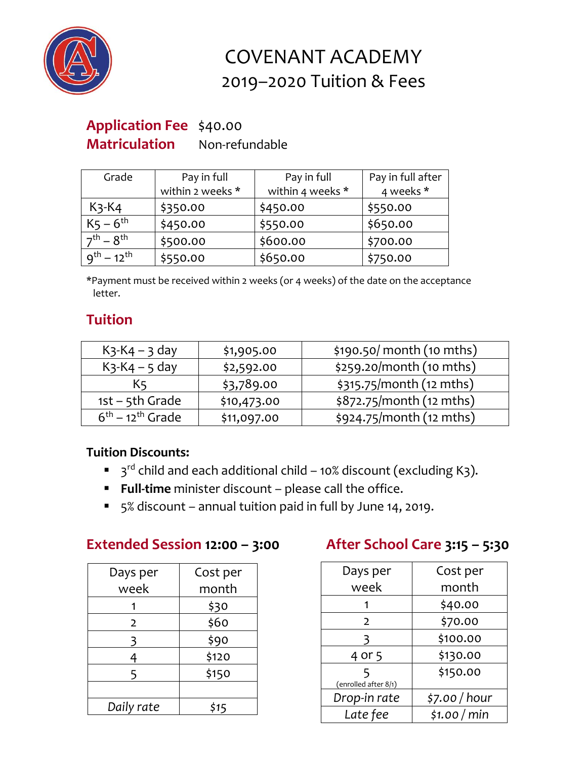

# COVENANT ACADEMY 2019–2020 Tuition & Fees

# **Application Fee** \$40.00

**Matriculation** Non-refundable

| Grade               | Pay in full      | Pay in full      | Pay in full after |
|---------------------|------------------|------------------|-------------------|
|                     | within 2 weeks * | within 4 weeks * | 4 weeks *         |
| $K3$ - $K4$         | \$350.00         | \$450.00         | \$550.00          |
| $K_5 - 6^{th}$      | \$450.00         | \$550.00         | \$650.00          |
| $7^{th}$ – $8^{th}$ | \$500.00         | \$600.00         | \$700.00          |
| $q^{th} - 12^{th}$  | \$550.00         | \$650.00         | \$750.00          |

\*Payment must be received within 2 weeks (or 4 weeks) of the date on the acceptance letter.

## **Tuition**

| $K$ 3- $K$ 4 – 3 day | \$1,905.00  | \$190.50/month (10 mths) |
|----------------------|-------------|--------------------------|
| $K_3-K_4 - 5$ day    | \$2,592.00  | \$259.20/month (10 mths) |
| K5                   | \$3,789.00  | \$315.75/month (12 mths) |
| $1st - 5th$ Grade    | \$10,473.00 | \$872.75/month (12 mths) |
| $6th - 12th$ Grade   | \$11,097.00 | \$924.75/month (12 mths) |

### **Tuition Discounts:**

- $\blacksquare$  3<sup>rd</sup> child and each additional child 10% discount (excluding K3).
- **Full-time** minister discount please call the office.
- 5% discount annual tuition paid in full by June 14, 2019.

### **Extended Session 12:00 – 3:00 After School Care 3:15 – 5:30**

| Days per       | Cost per |
|----------------|----------|
| week           | month    |
|                | \$30     |
| $\overline{2}$ | \$60     |
| 3              | \$90     |
| 4              | \$120    |
| 5              | \$150    |
|                |          |
| Daily rate     | \$15     |

| Days per                  | Cost per      |
|---------------------------|---------------|
| week                      | month         |
| 1                         | \$40.00       |
| $\overline{2}$            | \$70.00       |
| 3                         | \$100.00      |
| 4 or 5                    | \$130.00      |
| 5<br>(enrolled after 8/1) | \$150.00      |
| Drop-in rate              | \$7.00 / hour |
| Late fee                  | \$1.00/min    |